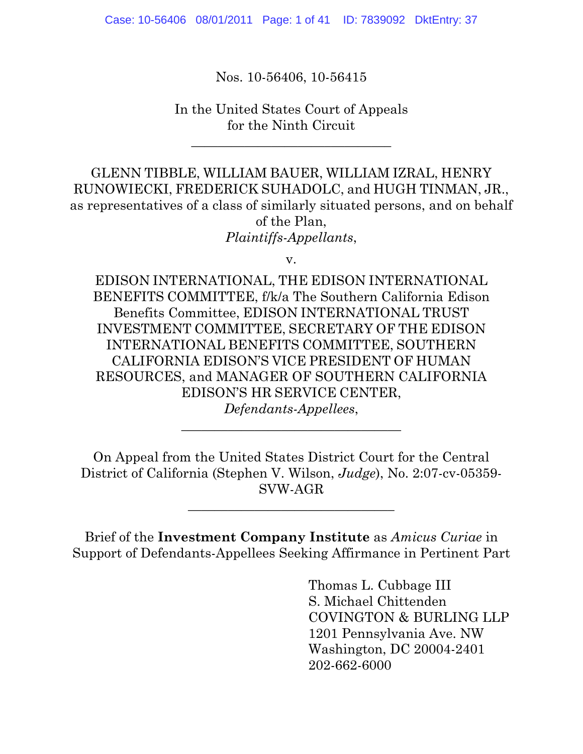Case: 10-56406 08/01/2011 Page: 1 of 41 ID: 7839092 DktEntry: 37

Nos. 10-56406, 10-56415

In the United States Court of Appeals for the Ninth Circuit

\_\_\_\_\_\_\_\_\_\_\_\_\_\_\_\_\_\_\_\_\_\_\_\_\_\_\_\_\_\_

GLENN TIBBLE, WILLIAM BAUER, WILLIAM IZRAL, HENRY RUNOWIECKI, FREDERICK SUHADOLC, and HUGH TINMAN, JR., as representatives of a class of similarly situated persons, and on behalf of the Plan, *Plaintiffs-Appellants*,

v.

EDISON INTERNATIONAL, THE EDISON INTERNATIONAL BENEFITS COMMITTEE, f/k/a The Southern California Edison Benefits Committee, EDISON INTERNATIONAL TRUST INVESTMENT COMMITTEE, SECRETARY OF THE EDISON INTERNATIONAL BENEFITS COMMITTEE, SOUTHERN CALIFORNIA EDISON'S VICE PRESIDENT OF HUMAN RESOURCES, and MANAGER OF SOUTHERN CALIFORNIA EDISON'S HR SERVICE CENTER, *Defendants-Appellees*,

On Appeal from the United States District Court for the Central District of California (Stephen V. Wilson, *Judge*), No. 2:07-cv-05359- SVW-AGR

\_\_\_\_\_\_\_\_\_\_\_\_\_\_\_\_\_\_\_\_\_\_\_\_\_\_\_\_\_\_\_

 $\frac{1}{2}$  , and the set of the set of the set of the set of the set of the set of the set of the set of the set of the set of the set of the set of the set of the set of the set of the set of the set of the set of the set

Brief of the **Investment Company Institute** as *Amicus Curiae* in Support of Defendants-Appellees Seeking Affirmance in Pertinent Part

> Thomas L. Cubbage III S. Michael Chittenden COVINGTON & BURLING LLP 1201 Pennsylvania Ave. NW Washington, DC 20004-2401 202-662-6000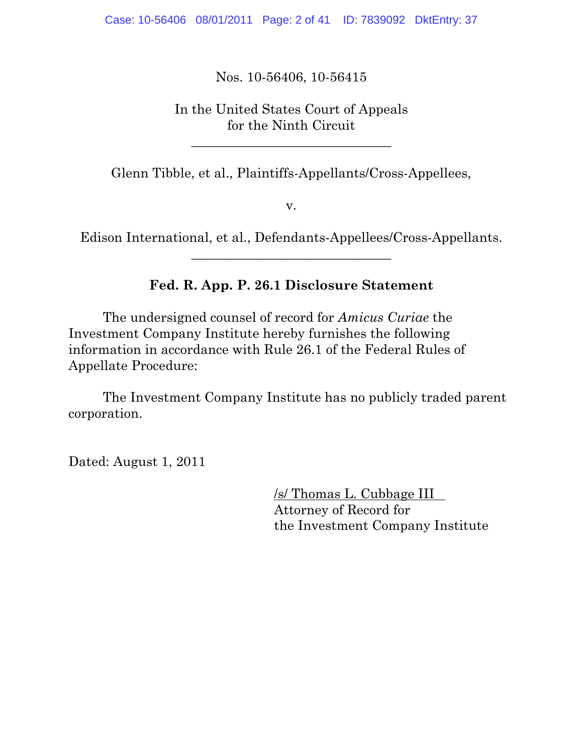Nos. 10-56406, 10-56415

In the United States Court of Appeals for the Ninth Circuit

\_\_\_\_\_\_\_\_\_\_\_\_\_\_\_\_\_\_\_\_\_\_\_\_\_\_\_\_\_\_

Glenn Tibble, et al., Plaintiffs-Appellants/Cross-Appellees,

v.

Edison International, et al., Defendants-Appellees/Cross-Appellants.  $\_$ 

## **Fed. R. App. P. 26.1 Disclosure Statement**

 The undersigned counsel of record for *Amicus Curiae* the Investment Company Institute hereby furnishes the following information in accordance with Rule 26.1 of the Federal Rules of Appellate Procedure:

 The Investment Company Institute has no publicly traded parent corporation.

Dated: August 1, 2011

 /s/ Thomas L. Cubbage III Attorney of Record for the Investment Company Institute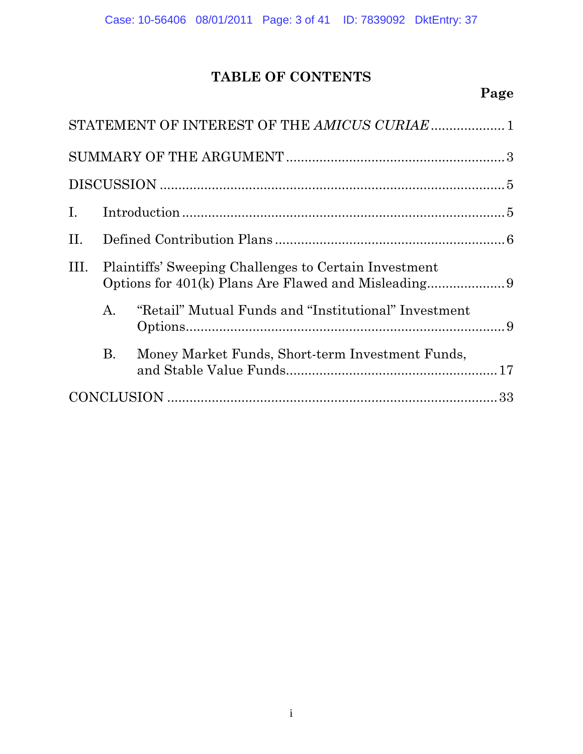# **TABLE OF CONTENTS**

# **Page**

|                |    | STATEMENT OF INTEREST OF THE AMICUS CURIAE 1          |  |  |  |  |  |
|----------------|----|-------------------------------------------------------|--|--|--|--|--|
|                |    |                                                       |  |  |  |  |  |
|                |    |                                                       |  |  |  |  |  |
| $\mathbf{I}$ . |    |                                                       |  |  |  |  |  |
| П.             |    |                                                       |  |  |  |  |  |
| Ш.             |    | Plaintiffs' Sweeping Challenges to Certain Investment |  |  |  |  |  |
|                | A. | "Retail" Mutual Funds and "Institutional" Investment  |  |  |  |  |  |
|                | Β. | Money Market Funds, Short-term Investment Funds,      |  |  |  |  |  |
|                |    |                                                       |  |  |  |  |  |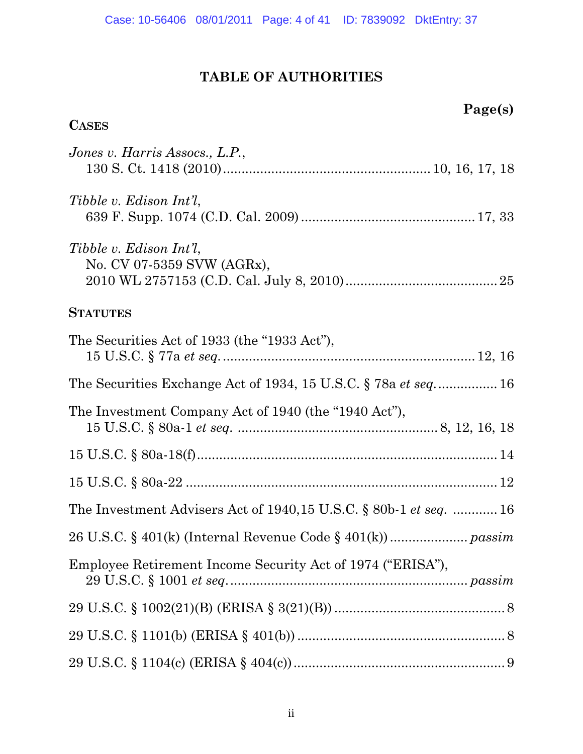# **TABLE OF AUTHORITIES**

| Page(s)                                                                    |
|----------------------------------------------------------------------------|
| <b>CASES</b>                                                               |
| Jones v. Harris Assocs., L.P.,                                             |
| Tibble v. Edison Int'l,                                                    |
| Tibble v. Edison Int'l,<br>No. CV 07-5359 SVW (AGRx),                      |
| <b>STATUTES</b>                                                            |
| The Securities Act of 1933 (the "1933 Act"),                               |
| The Securities Exchange Act of 1934, 15 U.S.C. $\S$ 78a <i>et seq</i> 16   |
| The Investment Company Act of 1940 (the "1940 Act"),                       |
|                                                                            |
|                                                                            |
| The Investment Advisers Act of $1940,15$ U.S.C. § 80b-1 <i>et seq. </i> 16 |
|                                                                            |
| Employee Retirement Income Security Act of 1974 ("ERISA"),                 |
|                                                                            |
|                                                                            |
|                                                                            |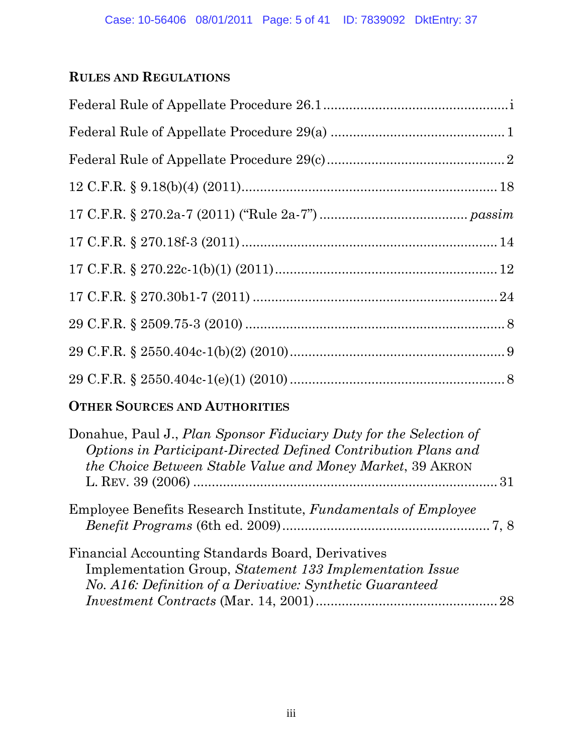# **RULES AND REGULATIONS**

# **OTHER SOURCES AND AUTHORITIES**

| Donahue, Paul J., Plan Sponsor Fiduciary Duty for the Selection of    |    |
|-----------------------------------------------------------------------|----|
| Options in Participant-Directed Defined Contribution Plans and        |    |
| <i>the Choice Between Stable Value and Money Market, 39 AKRON</i>     |    |
|                                                                       |    |
| <b>Employee Benefits Research Institute, Fundamentals of Employee</b> |    |
|                                                                       |    |
| Financial Accounting Standards Board, Derivatives                     |    |
| Implementation Group, Statement 133 Implementation Issue              |    |
| No. A16: Definition of a Derivative: Synthetic Guaranteed             |    |
|                                                                       | 28 |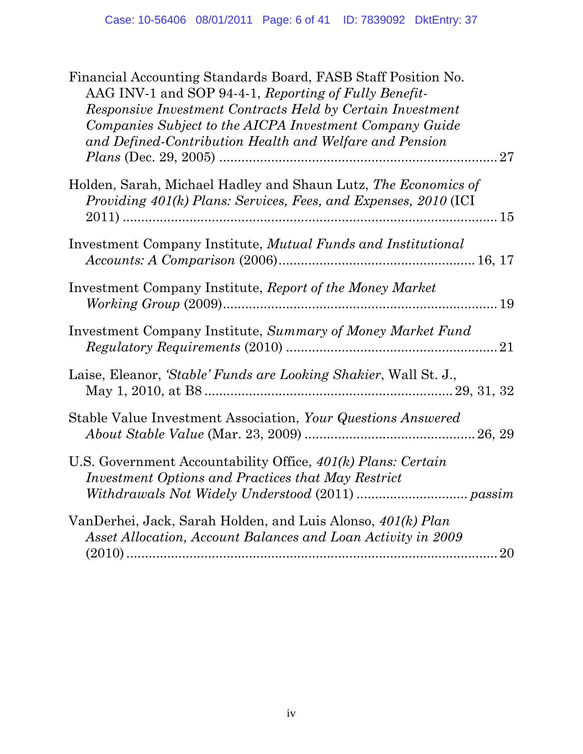| Financial Accounting Standards Board, FASB Staff Position No.<br>AAG INV-1 and SOP 94-4-1, Reporting of Fully Benefit-<br>Responsive Investment Contracts Held by Certain Investment<br>Companies Subject to the AICPA Investment Company Guide<br>and Defined-Contribution Health and Welfare and Pension |  |
|------------------------------------------------------------------------------------------------------------------------------------------------------------------------------------------------------------------------------------------------------------------------------------------------------------|--|
| Holden, Sarah, Michael Hadley and Shaun Lutz, The Economics of<br>Providing 401(k) Plans: Services, Fees, and Expenses, 2010 (ICI                                                                                                                                                                          |  |
| Investment Company Institute, Mutual Funds and Institutional                                                                                                                                                                                                                                               |  |
| Investment Company Institute, Report of the Money Market                                                                                                                                                                                                                                                   |  |
| Investment Company Institute, Summary of Money Market Fund                                                                                                                                                                                                                                                 |  |
| Laise, Eleanor, 'Stable' Funds are Looking Shakier, Wall St. J.,                                                                                                                                                                                                                                           |  |
| Stable Value Investment Association, Your Questions Answered                                                                                                                                                                                                                                               |  |
| U.S. Government Accountability Office, 401(k) Plans: Certain<br>Investment Options and Practices that May Restrict                                                                                                                                                                                         |  |
| VanDerhei, Jack, Sarah Holden, and Luis Alonso, 401(k) Plan<br>Asset Allocation, Account Balances and Loan Activity in 2009<br>20                                                                                                                                                                          |  |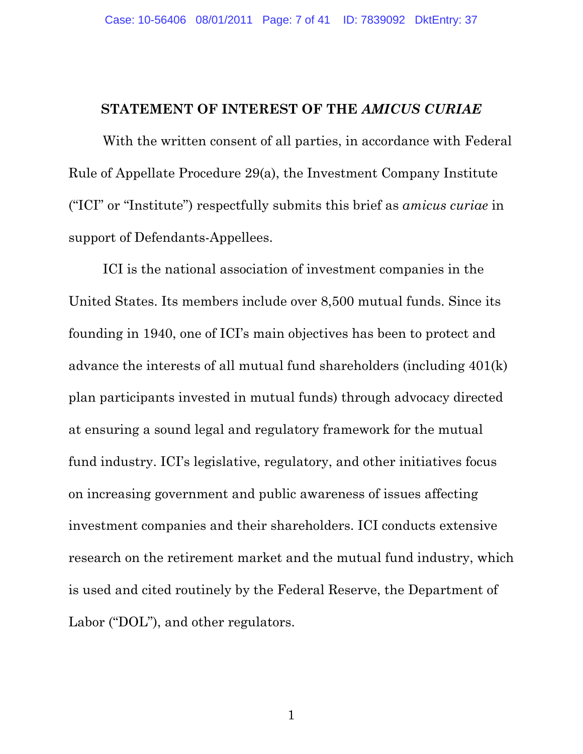#### **STATEMENT OF INTEREST OF THE** *AMICUS CURIAE*

With the written consent of all parties, in accordance with Federal Rule of Appellate Procedure 29(a), the Investment Company Institute ("ICI" or "Institute") respectfully submits this brief as *amicus curiae* in support of Defendants-Appellees.

ICI is the national association of investment companies in the United States. Its members include over 8,500 mutual funds. Since its founding in 1940, one of ICI's main objectives has been to protect and advance the interests of all mutual fund shareholders (including 401(k) plan participants invested in mutual funds) through advocacy directed at ensuring a sound legal and regulatory framework for the mutual fund industry. ICI's legislative, regulatory, and other initiatives focus on increasing government and public awareness of issues affecting investment companies and their shareholders. ICI conducts extensive research on the retirement market and the mutual fund industry, which is used and cited routinely by the Federal Reserve, the Department of Labor ("DOL"), and other regulators.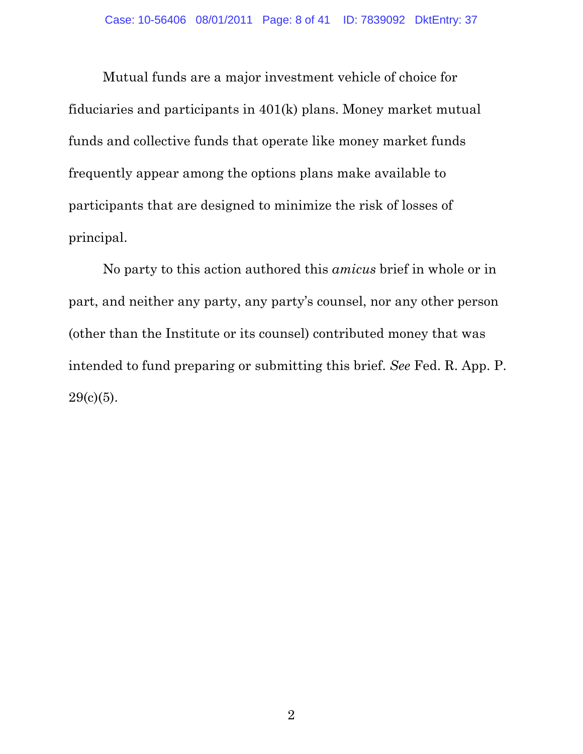Mutual funds are a major investment vehicle of choice for fiduciaries and participants in 401(k) plans. Money market mutual funds and collective funds that operate like money market funds frequently appear among the options plans make available to participants that are designed to minimize the risk of losses of principal.

No party to this action authored this *amicus* brief in whole or in part, and neither any party, any party's counsel, nor any other person (other than the Institute or its counsel) contributed money that was intended to fund preparing or submitting this brief. *See* Fed. R. App. P.  $29(c)(5)$ .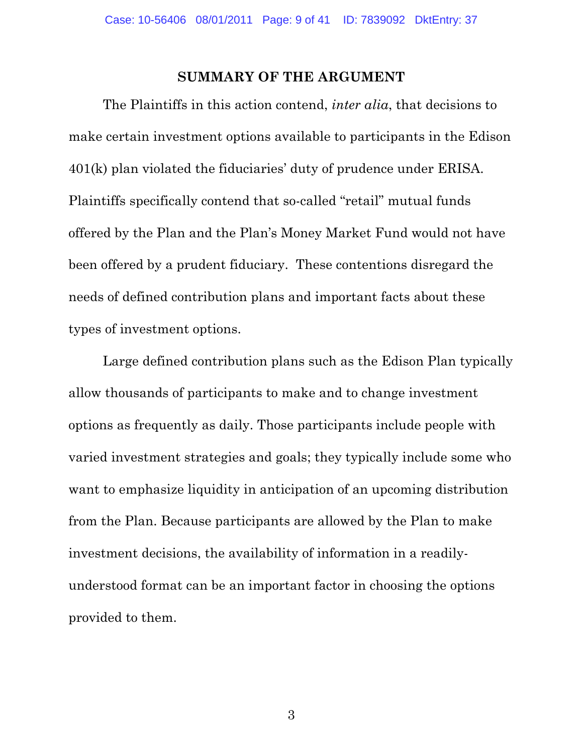#### **SUMMARY OF THE ARGUMENT**

The Plaintiffs in this action contend, *inter alia*, that decisions to make certain investment options available to participants in the Edison 401(k) plan violated the fiduciaries' duty of prudence under ERISA. Plaintiffs specifically contend that so-called "retail" mutual funds offered by the Plan and the Plan's Money Market Fund would not have been offered by a prudent fiduciary. These contentions disregard the needs of defined contribution plans and important facts about these types of investment options.

Large defined contribution plans such as the Edison Plan typically allow thousands of participants to make and to change investment options as frequently as daily. Those participants include people with varied investment strategies and goals; they typically include some who want to emphasize liquidity in anticipation of an upcoming distribution from the Plan. Because participants are allowed by the Plan to make investment decisions, the availability of information in a readilyunderstood format can be an important factor in choosing the options provided to them.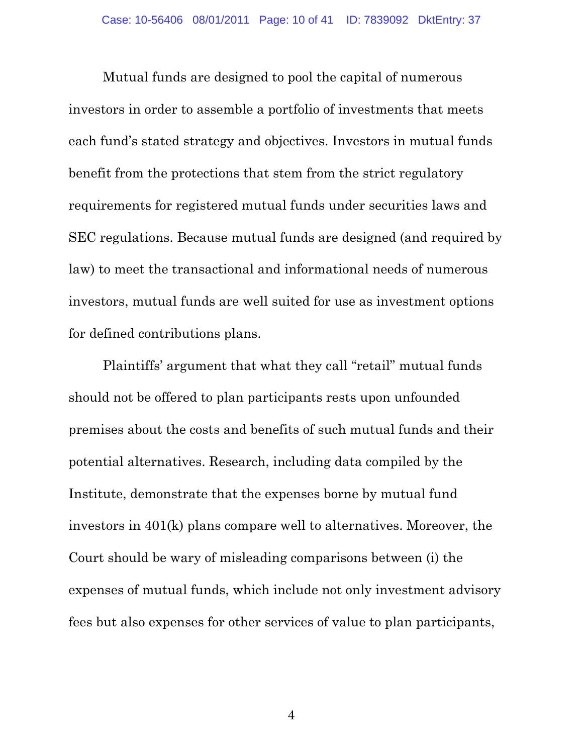Mutual funds are designed to pool the capital of numerous investors in order to assemble a portfolio of investments that meets each fund's stated strategy and objectives. Investors in mutual funds benefit from the protections that stem from the strict regulatory requirements for registered mutual funds under securities laws and SEC regulations. Because mutual funds are designed (and required by law) to meet the transactional and informational needs of numerous investors, mutual funds are well suited for use as investment options for defined contributions plans.

Plaintiffs' argument that what they call "retail" mutual funds should not be offered to plan participants rests upon unfounded premises about the costs and benefits of such mutual funds and their potential alternatives. Research, including data compiled by the Institute, demonstrate that the expenses borne by mutual fund investors in 401(k) plans compare well to alternatives. Moreover, the Court should be wary of misleading comparisons between (i) the expenses of mutual funds, which include not only investment advisory fees but also expenses for other services of value to plan participants,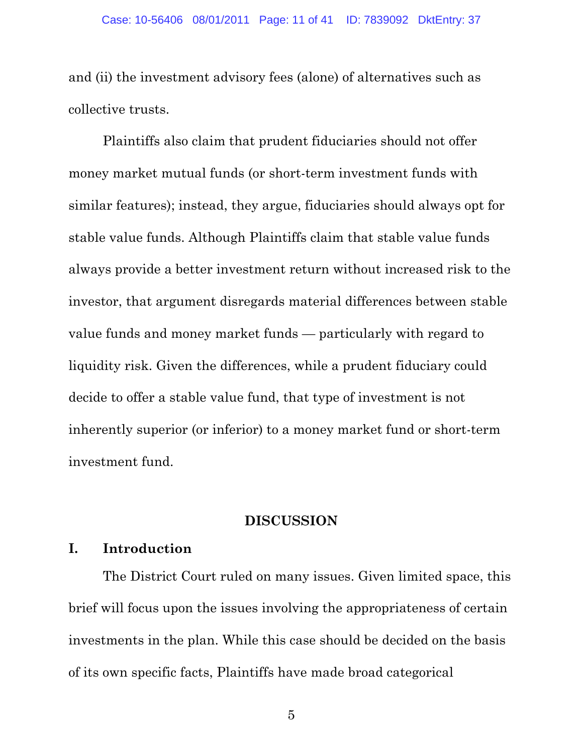and (ii) the investment advisory fees (alone) of alternatives such as collective trusts.

Plaintiffs also claim that prudent fiduciaries should not offer money market mutual funds (or short-term investment funds with similar features); instead, they argue, fiduciaries should always opt for stable value funds. Although Plaintiffs claim that stable value funds always provide a better investment return without increased risk to the investor, that argument disregards material differences between stable value funds and money market funds — particularly with regard to liquidity risk. Given the differences, while a prudent fiduciary could decide to offer a stable value fund, that type of investment is not inherently superior (or inferior) to a money market fund or short-term investment fund.

#### **DISCUSSION**

### **I. Introduction**

The District Court ruled on many issues. Given limited space, this brief will focus upon the issues involving the appropriateness of certain investments in the plan. While this case should be decided on the basis of its own specific facts, Plaintiffs have made broad categorical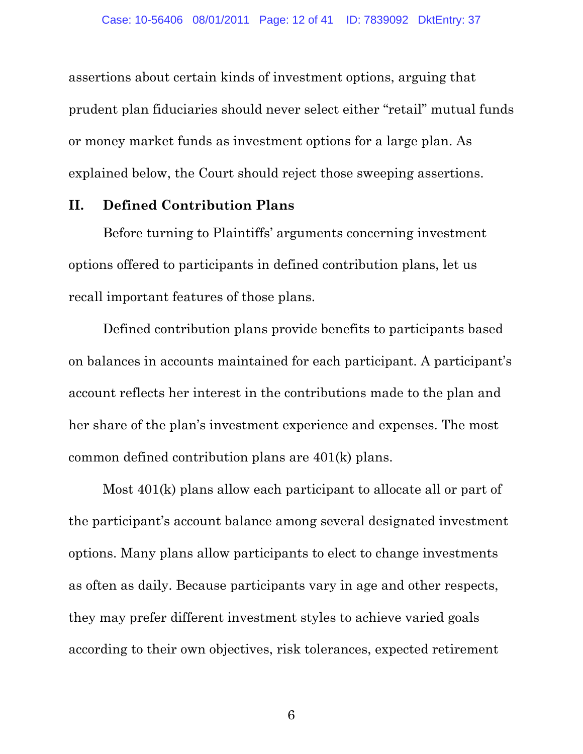assertions about certain kinds of investment options, arguing that prudent plan fiduciaries should never select either "retail" mutual funds or money market funds as investment options for a large plan. As explained below, the Court should reject those sweeping assertions.

#### **II. Defined Contribution Plans**

Before turning to Plaintiffs' arguments concerning investment options offered to participants in defined contribution plans, let us recall important features of those plans.

Defined contribution plans provide benefits to participants based on balances in accounts maintained for each participant. A participant's account reflects her interest in the contributions made to the plan and her share of the plan's investment experience and expenses. The most common defined contribution plans are 401(k) plans.

Most 401(k) plans allow each participant to allocate all or part of the participant's account balance among several designated investment options. Many plans allow participants to elect to change investments as often as daily. Because participants vary in age and other respects, they may prefer different investment styles to achieve varied goals according to their own objectives, risk tolerances, expected retirement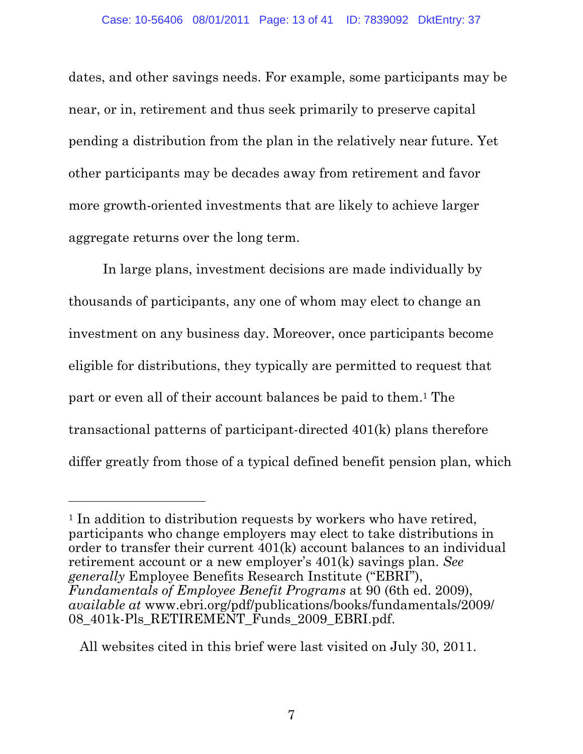dates, and other savings needs. For example, some participants may be near, or in, retirement and thus seek primarily to preserve capital pending a distribution from the plan in the relatively near future. Yet other participants may be decades away from retirement and favor more growth-oriented investments that are likely to achieve larger aggregate returns over the long term.

In large plans, investment decisions are made individually by thousands of participants, any one of whom may elect to change an investment on any business day. Moreover, once participants become eligible for distributions, they typically are permitted to request that part or even all of their account balances be paid to them.1 The transactional patterns of participant-directed 401(k) plans therefore differ greatly from those of a typical defined benefit pension plan, which

<sup>&</sup>lt;sup>1</sup> In addition to distribution requests by workers who have retired, participants who change employers may elect to take distributions in order to transfer their current 401(k) account balances to an individual retirement account or a new employer's 401(k) savings plan. *See generally* Employee Benefits Research Institute ("EBRI"), *Fundamentals of Employee Benefit Programs* at 90 (6th ed. 2009), *available at* www.ebri.org/pdf/publications/books/fundamentals/2009/ 08 401k-Pls RETIREMENT Funds 2009 EBRI.pdf.

All websites cited in this brief were last visited on July 30, 2011.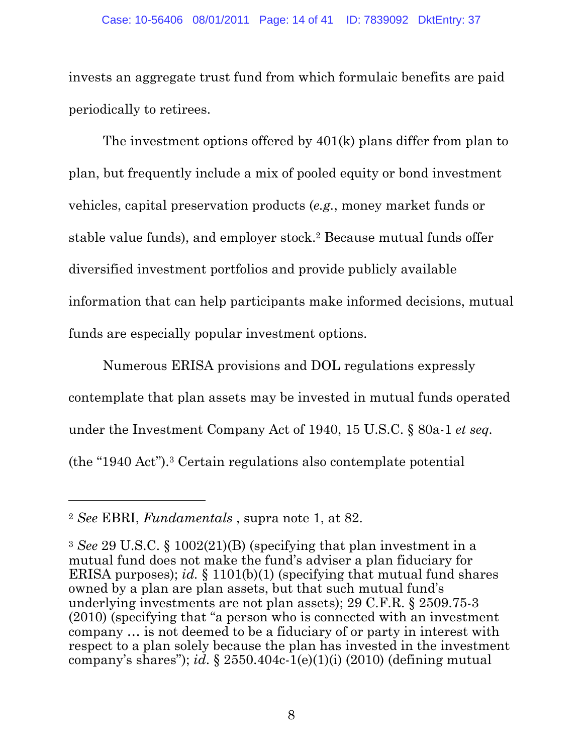#### Case: 10-56406 08/01/2011 Page: 14 of 41 ID: 7839092 DktEntry: 37

invests an aggregate trust fund from which formulaic benefits are paid periodically to retirees.

The investment options offered by 401(k) plans differ from plan to plan, but frequently include a mix of pooled equity or bond investment vehicles, capital preservation products (*e.g.*, money market funds or stable value funds), and employer stock.<sup>2</sup> Because mutual funds offer diversified investment portfolios and provide publicly available information that can help participants make informed decisions, mutual funds are especially popular investment options.

Numerous ERISA provisions and DOL regulations expressly contemplate that plan assets may be invested in mutual funds operated under the Investment Company Act of 1940, 15 U.S.C. § 80a-1 *et seq.* (the "1940 Act").3 Certain regulations also contemplate potential

<sup>2</sup> *See* EBRI, *Fundamentals* , supra note 1, at 82.

<sup>3</sup> *See* 29 U.S.C. § 1002(21)(B) (specifying that plan investment in a mutual fund does not make the fund's adviser a plan fiduciary for ERISA purposes); *id.* § 1101(b)(1) (specifying that mutual fund shares owned by a plan are plan assets, but that such mutual fund's underlying investments are not plan assets); 29 C.F.R. § 2509.75-3 (2010) (specifying that "a person who is connected with an investment company … is not deemed to be a fiduciary of or party in interest with respect to a plan solely because the plan has invested in the investment company's shares"); *id*. § 2550.404c-1(e)(1)(i) (2010) (defining mutual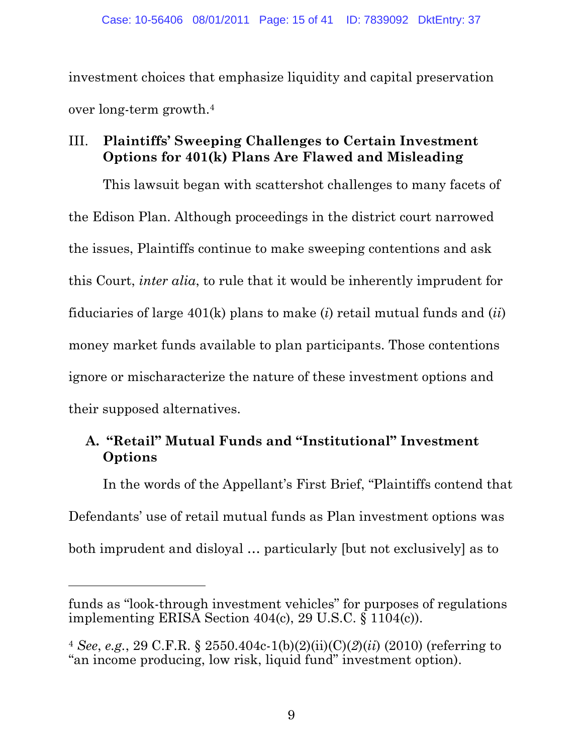investment choices that emphasize liquidity and capital preservation over long-term growth.4

## III. **Plaintiffs' Sweeping Challenges to Certain Investment Options for 401(k) Plans Are Flawed and Misleading**

This lawsuit began with scattershot challenges to many facets of the Edison Plan. Although proceedings in the district court narrowed the issues, Plaintiffs continue to make sweeping contentions and ask this Court, *inter alia*, to rule that it would be inherently imprudent for fiduciaries of large 401(k) plans to make (*i*) retail mutual funds and (*ii*) money market funds available to plan participants. Those contentions ignore or mischaracterize the nature of these investment options and their supposed alternatives.

## **A. "Retail" Mutual Funds and "Institutional" Investment Options**

In the words of the Appellant's First Brief, "Plaintiffs contend that Defendants' use of retail mutual funds as Plan investment options was both imprudent and disloyal … particularly [but not exclusively] as to

funds as "look-through investment vehicles" for purposes of regulations implementing ERISA Section 404(c), 29 U.S.C. § 1104(c)).

<sup>4</sup> *See*, *e.g.*, 29 C.F.R. § 2550.404c-1(b)(2)(ii)(C)(*2*)(*ii*) (2010) (referring to "an income producing, low risk, liquid fund" investment option).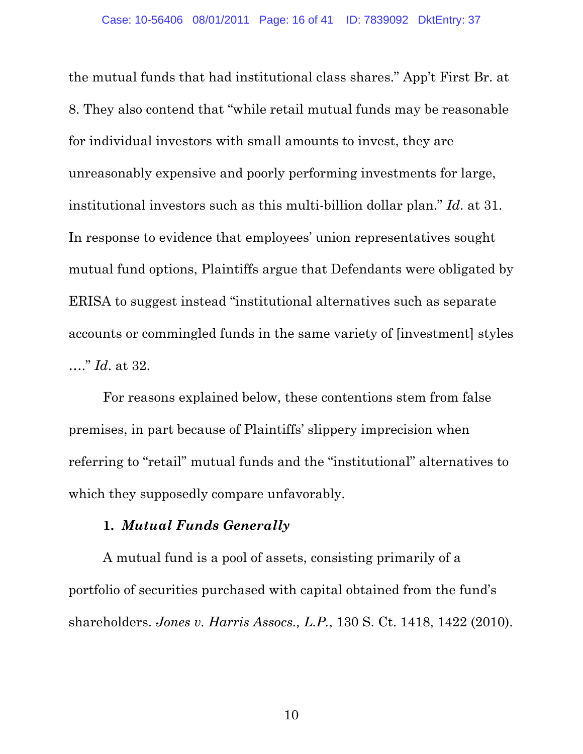the mutual funds that had institutional class shares." App't First Br. at 8. They also contend that "while retail mutual funds may be reasonable for individual investors with small amounts to invest, they are unreasonably expensive and poorly performing investments for large, institutional investors such as this multi-billion dollar plan." *Id*. at 31. In response to evidence that employees' union representatives sought mutual fund options, Plaintiffs argue that Defendants were obligated by ERISA to suggest instead "institutional alternatives such as separate accounts or commingled funds in the same variety of [investment] styles …." *Id*. at 32.

For reasons explained below, these contentions stem from false premises, in part because of Plaintiffs' slippery imprecision when referring to "retail" mutual funds and the "institutional" alternatives to which they supposedly compare unfavorably.

### **1.** *Mutual Funds Generally*

A mutual fund is a pool of assets, consisting primarily of a portfolio of securities purchased with capital obtained from the fund's shareholders. *Jones v. Harris Assocs., L.P.*, 130 S. Ct. 1418, 1422 (2010).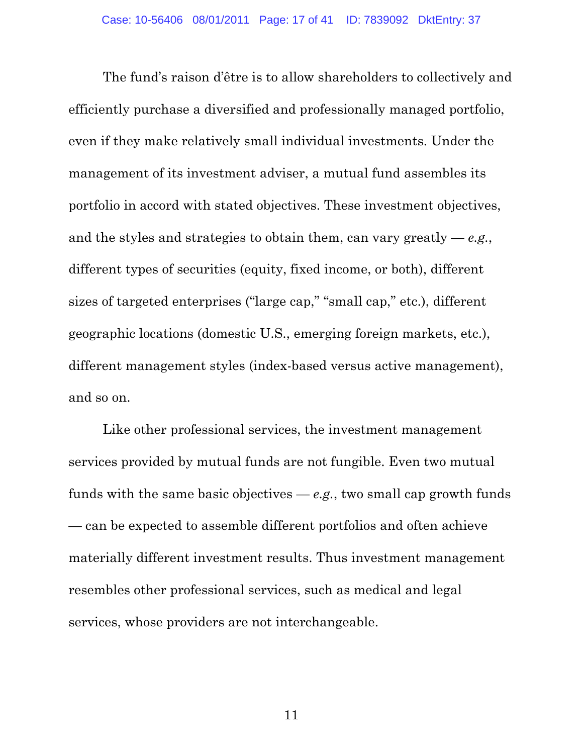The fund's raison d'être is to allow shareholders to collectively and efficiently purchase a diversified and professionally managed portfolio, even if they make relatively small individual investments. Under the management of its investment adviser, a mutual fund assembles its portfolio in accord with stated objectives. These investment objectives, and the styles and strategies to obtain them, can vary greatly — *e.g.*, different types of securities (equity, fixed income, or both), different sizes of targeted enterprises ("large cap," "small cap," etc.), different geographic locations (domestic U.S., emerging foreign markets, etc.), different management styles (index-based versus active management), and so on.

Like other professional services, the investment management services provided by mutual funds are not fungible. Even two mutual funds with the same basic objectives  $-e.g.,$  two small cap growth funds — can be expected to assemble different portfolios and often achieve materially different investment results. Thus investment management resembles other professional services, such as medical and legal services, whose providers are not interchangeable.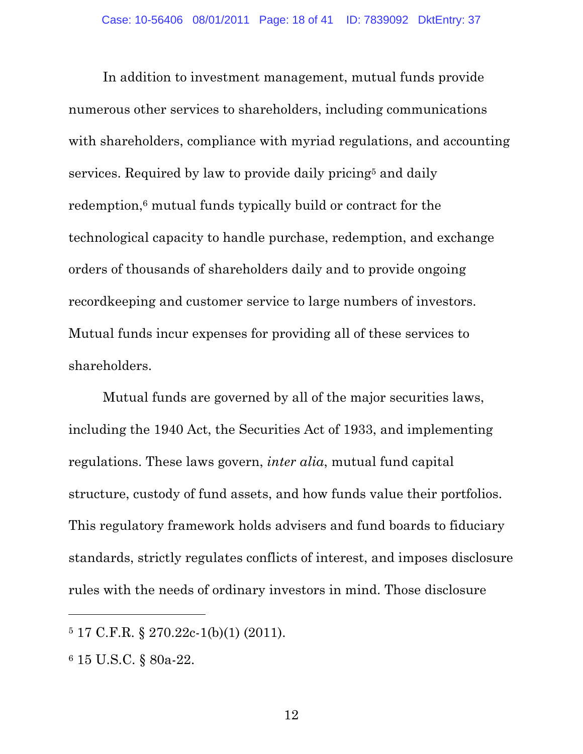In addition to investment management, mutual funds provide numerous other services to shareholders, including communications with shareholders, compliance with myriad regulations, and accounting services. Required by law to provide daily pricing<sup>5</sup> and daily redemption,6 mutual funds typically build or contract for the technological capacity to handle purchase, redemption, and exchange orders of thousands of shareholders daily and to provide ongoing recordkeeping and customer service to large numbers of investors. Mutual funds incur expenses for providing all of these services to shareholders.

Mutual funds are governed by all of the major securities laws, including the 1940 Act, the Securities Act of 1933, and implementing regulations. These laws govern, *inter alia*, mutual fund capital structure, custody of fund assets, and how funds value their portfolios. This regulatory framework holds advisers and fund boards to fiduciary standards, strictly regulates conflicts of interest, and imposes disclosure rules with the needs of ordinary investors in mind. Those disclosure

<sup>5 17</sup> C.F.R. § 270.22c-1(b)(1) (2011).

<sup>6 15</sup> U.S.C. § 80a-22.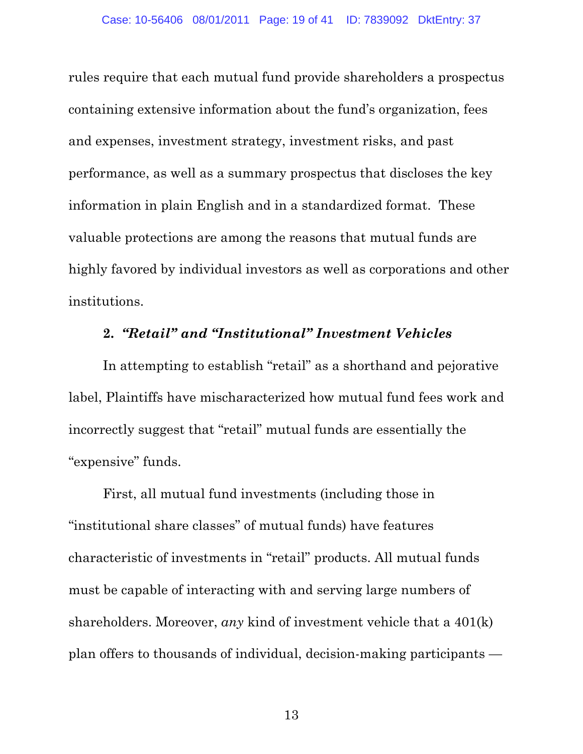rules require that each mutual fund provide shareholders a prospectus containing extensive information about the fund's organization, fees and expenses, investment strategy, investment risks, and past performance, as well as a summary prospectus that discloses the key information in plain English and in a standardized format. These valuable protections are among the reasons that mutual funds are highly favored by individual investors as well as corporations and other institutions.

### **2.** *"Retail" and "Institutional" Investment Vehicles*

In attempting to establish "retail" as a shorthand and pejorative label, Plaintiffs have mischaracterized how mutual fund fees work and incorrectly suggest that "retail" mutual funds are essentially the "expensive" funds.

First, all mutual fund investments (including those in "institutional share classes" of mutual funds) have features characteristic of investments in "retail" products. All mutual funds must be capable of interacting with and serving large numbers of shareholders. Moreover, *any* kind of investment vehicle that a 401(k) plan offers to thousands of individual, decision-making participants —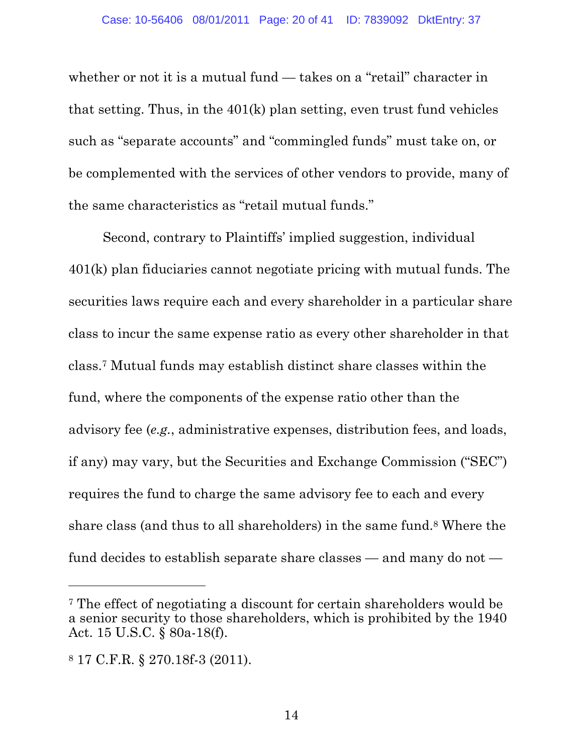whether or not it is a mutual fund — takes on a "retail" character in that setting. Thus, in the 401(k) plan setting, even trust fund vehicles such as "separate accounts" and "commingled funds" must take on, or be complemented with the services of other vendors to provide, many of the same characteristics as "retail mutual funds."

Second, contrary to Plaintiffs' implied suggestion, individual 401(k) plan fiduciaries cannot negotiate pricing with mutual funds. The securities laws require each and every shareholder in a particular share class to incur the same expense ratio as every other shareholder in that class.7 Mutual funds may establish distinct share classes within the fund, where the components of the expense ratio other than the advisory fee (*e.g.*, administrative expenses, distribution fees, and loads, if any) may vary, but the Securities and Exchange Commission ("SEC") requires the fund to charge the same advisory fee to each and every share class (and thus to all shareholders) in the same fund.8 Where the fund decides to establish separate share classes — and many do not —

 $\overline{a}$ 

<sup>7</sup> The effect of negotiating a discount for certain shareholders would be a senior security to those shareholders, which is prohibited by the 1940 Act. 15 U.S.C. § 80a-18(f).

<sup>8 17</sup> C.F.R. § 270.18f-3 (2011).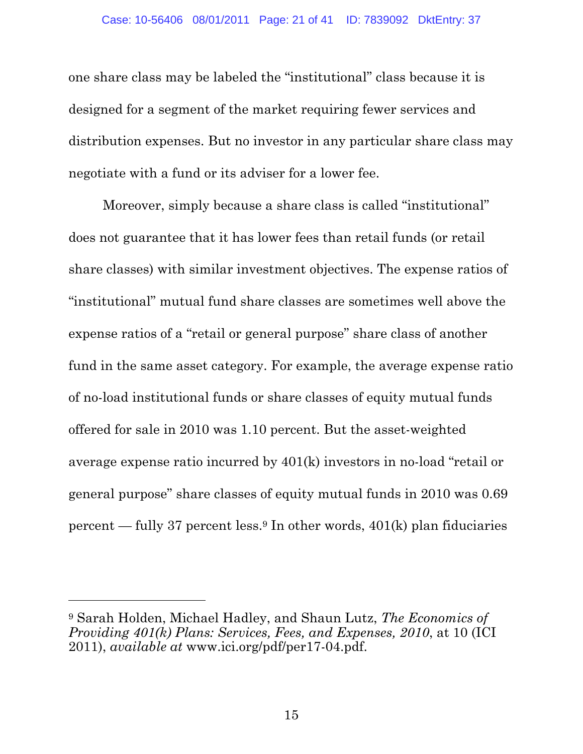one share class may be labeled the "institutional" class because it is designed for a segment of the market requiring fewer services and distribution expenses. But no investor in any particular share class may negotiate with a fund or its adviser for a lower fee.

Moreover, simply because a share class is called "institutional" does not guarantee that it has lower fees than retail funds (or retail share classes) with similar investment objectives. The expense ratios of "institutional" mutual fund share classes are sometimes well above the expense ratios of a "retail or general purpose" share class of another fund in the same asset category. For example, the average expense ratio of no-load institutional funds or share classes of equity mutual funds offered for sale in 2010 was 1.10 percent. But the asset-weighted average expense ratio incurred by 401(k) investors in no-load "retail or general purpose" share classes of equity mutual funds in 2010 was 0.69 percent — fully 37 percent less.9 In other words, 401(k) plan fiduciaries

<sup>9</sup> Sarah Holden, Michael Hadley, and Shaun Lutz, *The Economics of Providing 401(k) Plans: Services, Fees, and Expenses, 2010*, at 10 (ICI 2011), *available at* www.ici.org/pdf/per17-04.pdf.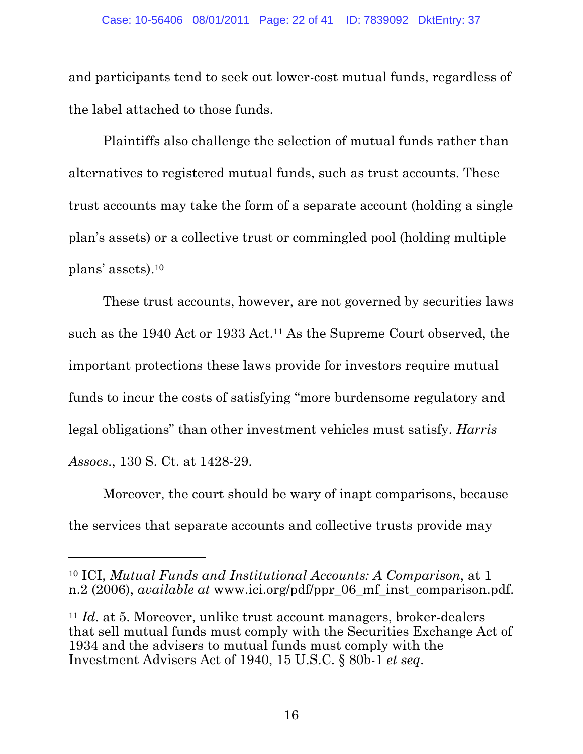and participants tend to seek out lower-cost mutual funds, regardless of the label attached to those funds.

Plaintiffs also challenge the selection of mutual funds rather than alternatives to registered mutual funds, such as trust accounts. These trust accounts may take the form of a separate account (holding a single plan's assets) or a collective trust or commingled pool (holding multiple plans' assets).10

These trust accounts, however, are not governed by securities laws such as the 1940 Act or 1933 Act.11 As the Supreme Court observed, the important protections these laws provide for investors require mutual funds to incur the costs of satisfying "more burdensome regulatory and legal obligations" than other investment vehicles must satisfy. *Harris Assocs*., 130 S. Ct. at 1428-29.

Moreover, the court should be wary of inapt comparisons, because the services that separate accounts and collective trusts provide may

 $\overline{a}$ 

<sup>10</sup> ICI, *Mutual Funds and Institutional Accounts: A Comparison*, at 1 n.2 (2006), *available at* www.ici.org/pdf/ppr\_06\_mf\_inst\_comparison.pdf.

<sup>11</sup> *Id*. at 5. Moreover, unlike trust account managers, broker-dealers that sell mutual funds must comply with the Securities Exchange Act of 1934 and the advisers to mutual funds must comply with the Investment Advisers Act of 1940, 15 U.S.C. § 80b-1 *et seq*.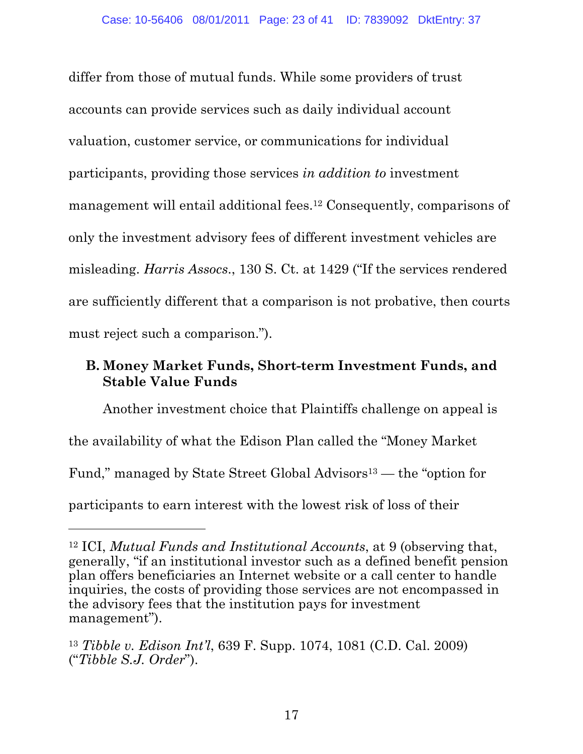differ from those of mutual funds. While some providers of trust accounts can provide services such as daily individual account valuation, customer service, or communications for individual participants, providing those services *in addition to* investment management will entail additional fees.12 Consequently, comparisons of only the investment advisory fees of different investment vehicles are misleading. *Harris Assocs*., 130 S. Ct. at 1429 ("If the services rendered are sufficiently different that a comparison is not probative, then courts must reject such a comparison.").

## **B. Money Market Funds, Short-term Investment Funds, and Stable Value Funds**

Another investment choice that Plaintiffs challenge on appeal is the availability of what the Edison Plan called the "Money Market Fund," managed by State Street Global Advisors<sup>13</sup> — the "option for participants to earn interest with the lowest risk of loss of their

<sup>12</sup> ICI, *Mutual Funds and Institutional Accounts*, at 9 (observing that, generally, "if an institutional investor such as a defined benefit pension plan offers beneficiaries an Internet website or a call center to handle inquiries, the costs of providing those services are not encompassed in the advisory fees that the institution pays for investment management").

<sup>13</sup> *Tibble v. Edison Int'l*, 639 F. Supp. 1074, 1081 (C.D. Cal. 2009) ("*Tibble S.J. Order*").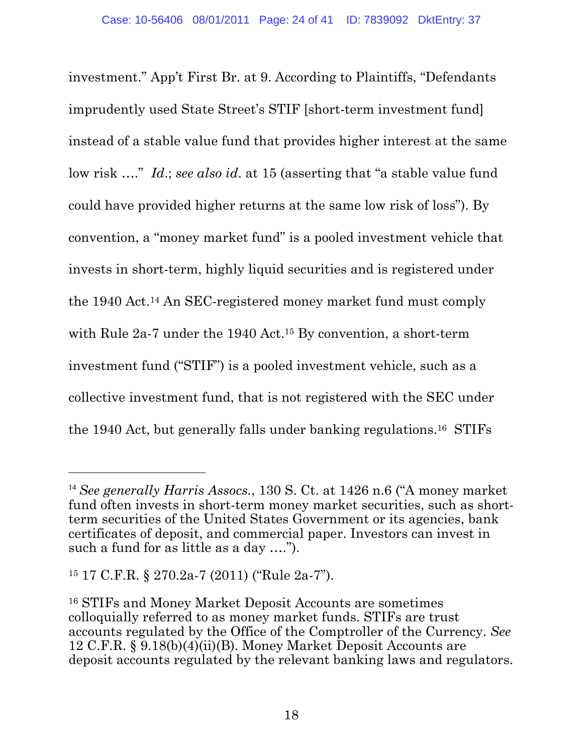investment." App't First Br. at 9. According to Plaintiffs, "Defendants imprudently used State Street's STIF [short-term investment fund] instead of a stable value fund that provides higher interest at the same low risk …." *Id*.; *see also id*. at 15 (asserting that "a stable value fund could have provided higher returns at the same low risk of loss"). By convention, a "money market fund" is a pooled investment vehicle that invests in short-term, highly liquid securities and is registered under the 1940 Act.14 An SEC-registered money market fund must comply with Rule 2a-7 under the 1940 Act.15 By convention, a short-term investment fund ("STIF") is a pooled investment vehicle, such as a collective investment fund, that is not registered with the SEC under the 1940 Act, but generally falls under banking regulations.16 STIFs

<sup>14</sup> *See generally Harris Assocs.*, 130 S. Ct. at 1426 n.6 ("A money market fund often invests in short-term money market securities, such as shortterm securities of the United States Government or its agencies, bank certificates of deposit, and commercial paper. Investors can invest in such a fund for as little as a day ….").

<sup>15 17</sup> C.F.R. § 270.2a-7 (2011) ("Rule 2a-7").

<sup>16</sup> STIFs and Money Market Deposit Accounts are sometimes colloquially referred to as money market funds. STIFs are trust accounts regulated by the Office of the Comptroller of the Currency. *See* 12 C.F.R. § 9.18(b)(4)(ii)(B). Money Market Deposit Accounts are deposit accounts regulated by the relevant banking laws and regulators.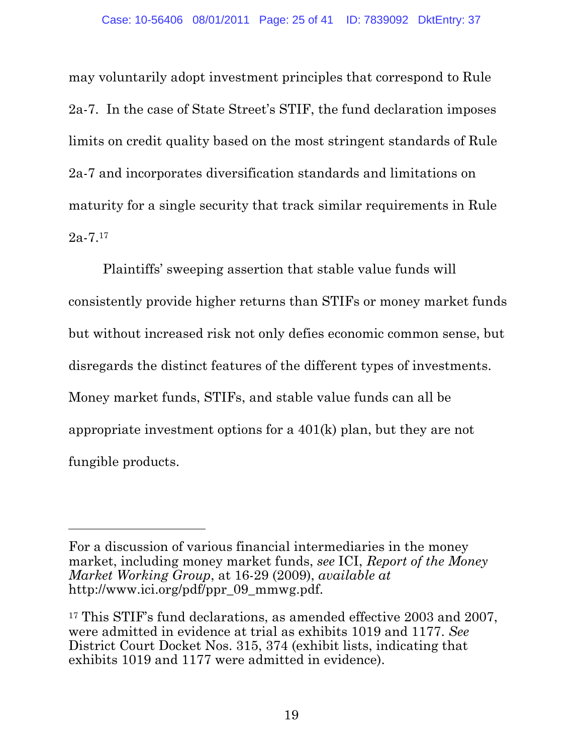may voluntarily adopt investment principles that correspond to Rule 2a-7. In the case of State Street's STIF, the fund declaration imposes limits on credit quality based on the most stringent standards of Rule 2a-7 and incorporates diversification standards and limitations on maturity for a single security that track similar requirements in Rule  $2a-7.17$ 

Plaintiffs' sweeping assertion that stable value funds will consistently provide higher returns than STIFs or money market funds but without increased risk not only defies economic common sense, but disregards the distinct features of the different types of investments. Money market funds, STIFs, and stable value funds can all be appropriate investment options for a 401(k) plan, but they are not fungible products.

For a discussion of various financial intermediaries in the money market, including money market funds, *see* ICI, *Report of the Money Market Working Group*, at 16-29 (2009), *available at* http://www.ici.org/pdf/ppr\_09\_mmwg.pdf.

<sup>&</sup>lt;sup>17</sup> This STIF's fund declarations, as amended effective 2003 and 2007, were admitted in evidence at trial as exhibits 1019 and 1177. *See*  District Court Docket Nos. 315, 374 (exhibit lists, indicating that exhibits 1019 and 1177 were admitted in evidence).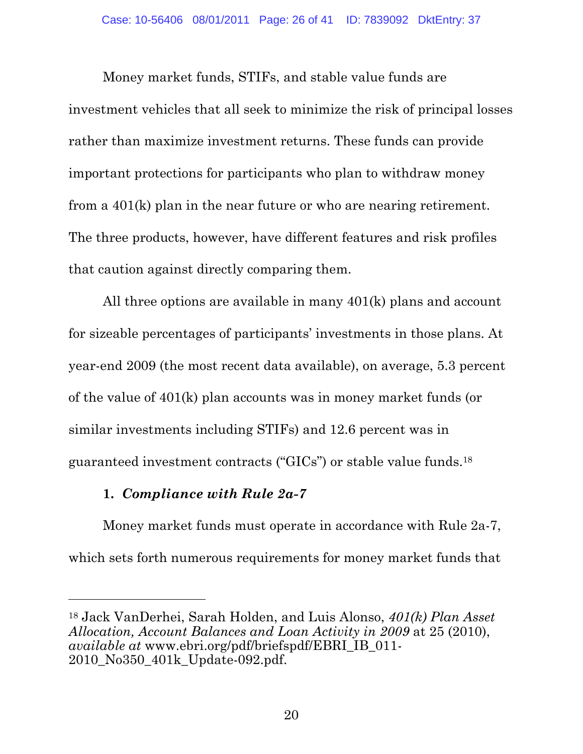Money market funds, STIFs, and stable value funds are investment vehicles that all seek to minimize the risk of principal losses rather than maximize investment returns. These funds can provide important protections for participants who plan to withdraw money from a 401(k) plan in the near future or who are nearing retirement. The three products, however, have different features and risk profiles that caution against directly comparing them.

All three options are available in many 401(k) plans and account for sizeable percentages of participants' investments in those plans. At year-end 2009 (the most recent data available), on average, 5.3 percent of the value of 401(k) plan accounts was in money market funds (or similar investments including STIFs) and 12.6 percent was in guaranteed investment contracts ("GICs") or stable value funds.18

## **1.** *Compliance with Rule 2a-7*

 $\overline{a}$ 

Money market funds must operate in accordance with Rule 2a-7, which sets forth numerous requirements for money market funds that

<sup>18</sup> Jack VanDerhei, Sarah Holden, and Luis Alonso, *401(k) Plan Asset Allocation, Account Balances and Loan Activity in 2009* at 25 (2010), *available at* www.ebri.org/pdf/briefspdf/EBRI\_IB\_011- 2010\_No350\_401k\_Update-092.pdf.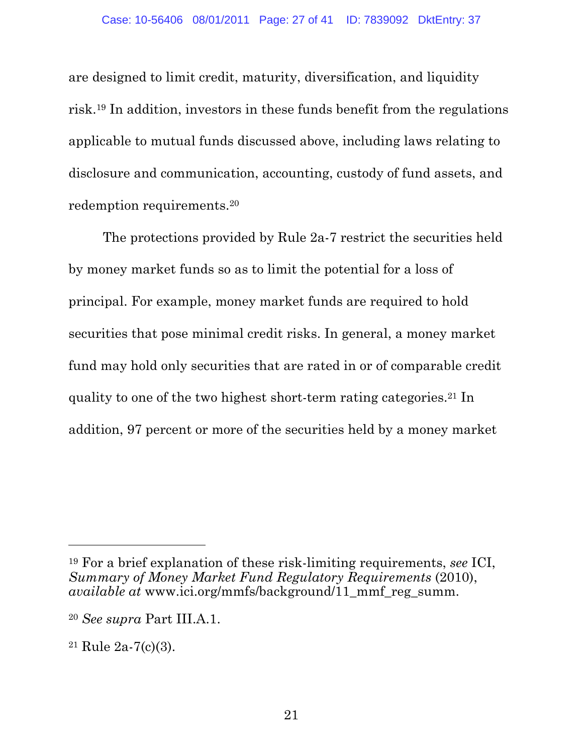are designed to limit credit, maturity, diversification, and liquidity risk.19 In addition, investors in these funds benefit from the regulations applicable to mutual funds discussed above, including laws relating to disclosure and communication, accounting, custody of fund assets, and redemption requirements.20

The protections provided by Rule 2a-7 restrict the securities held by money market funds so as to limit the potential for a loss of principal. For example, money market funds are required to hold securities that pose minimal credit risks. In general, a money market fund may hold only securities that are rated in or of comparable credit quality to one of the two highest short-term rating categories.21 In addition, 97 percent or more of the securities held by a money market

<sup>19</sup> For a brief explanation of these risk-limiting requirements, *see* ICI, *Summary of Money Market Fund Regulatory Requirements* (2010), *available at* www.ici.org/mmfs/background/11\_mmf\_reg\_summ.

<sup>20</sup> *See supra* Part III.A.1.

<sup>21</sup> Rule 2a-7(c)(3).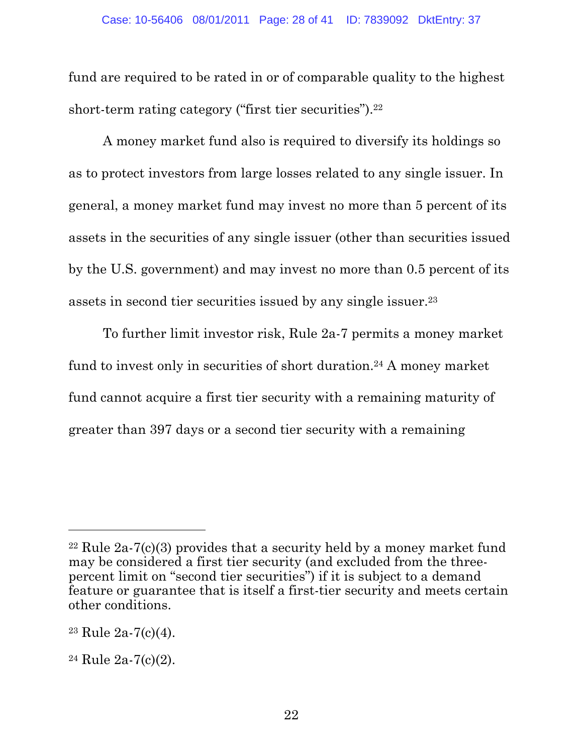fund are required to be rated in or of comparable quality to the highest short-term rating category ("first tier securities").<sup>22</sup>

A money market fund also is required to diversify its holdings so as to protect investors from large losses related to any single issuer. In general, a money market fund may invest no more than 5 percent of its assets in the securities of any single issuer (other than securities issued by the U.S. government) and may invest no more than 0.5 percent of its assets in second tier securities issued by any single issuer.23

To further limit investor risk, Rule 2a-7 permits a money market fund to invest only in securities of short duration.24 A money market fund cannot acquire a first tier security with a remaining maturity of greater than 397 days or a second tier security with a remaining

 $22$  Rule  $2a-7(c)(3)$  provides that a security held by a money market fund may be considered a first tier security (and excluded from the threepercent limit on "second tier securities") if it is subject to a demand feature or guarantee that is itself a first-tier security and meets certain other conditions.

 $23$  Rule  $2a-7(c)(4)$ .

<sup>24</sup> Rule 2a-7(c)(2).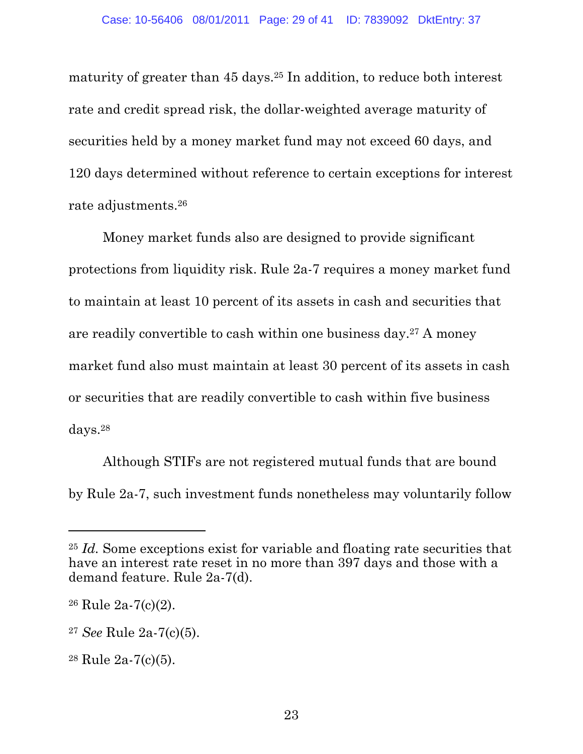maturity of greater than 45 days.25 In addition, to reduce both interest rate and credit spread risk, the dollar-weighted average maturity of securities held by a money market fund may not exceed 60 days, and 120 days determined without reference to certain exceptions for interest rate adjustments.26

Money market funds also are designed to provide significant protections from liquidity risk. Rule 2a-7 requires a money market fund to maintain at least 10 percent of its assets in cash and securities that are readily convertible to cash within one business day.27 A money market fund also must maintain at least 30 percent of its assets in cash or securities that are readily convertible to cash within five business days.28

Although STIFs are not registered mutual funds that are bound by Rule 2a-7, such investment funds nonetheless may voluntarily follow

<sup>25</sup> *Id.* Some exceptions exist for variable and floating rate securities that have an interest rate reset in no more than 397 days and those with a demand feature. Rule 2a-7(d).

<sup>26</sup> Rule 2a-7(c)(2).

<sup>27</sup> *See* Rule 2a-7(c)(5).

<sup>28</sup> Rule 2a-7(c)(5).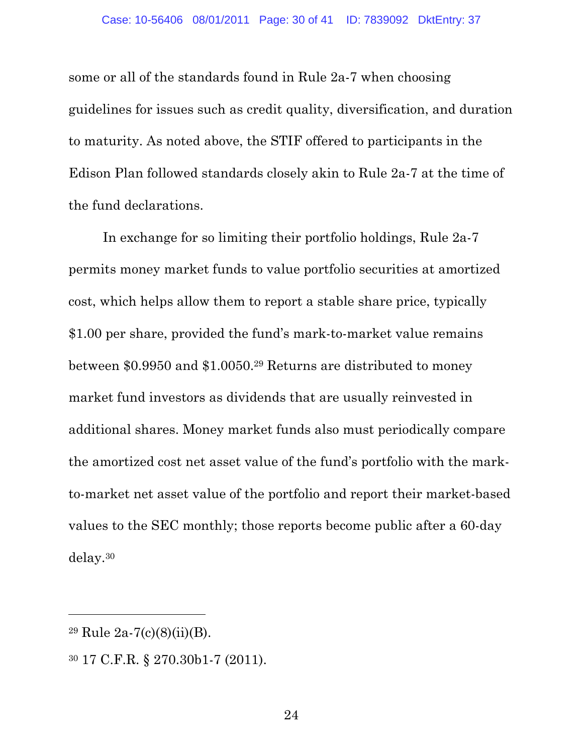some or all of the standards found in Rule 2a-7 when choosing guidelines for issues such as credit quality, diversification, and duration to maturity. As noted above, the STIF offered to participants in the Edison Plan followed standards closely akin to Rule 2a-7 at the time of the fund declarations.

In exchange for so limiting their portfolio holdings, Rule 2a-7 permits money market funds to value portfolio securities at amortized cost, which helps allow them to report a stable share price, typically \$1.00 per share, provided the fund's mark-to-market value remains between \$0.9950 and \$1.0050.29 Returns are distributed to money market fund investors as dividends that are usually reinvested in additional shares. Money market funds also must periodically compare the amortized cost net asset value of the fund's portfolio with the markto-market net asset value of the portfolio and report their market-based values to the SEC monthly; those reports become public after a 60-day delay.30

 $29 \text{ Rule } 2a - 7(c)(8)(ii)(B).$ 

<sup>30 17</sup> C.F.R. § 270.30b1-7 (2011).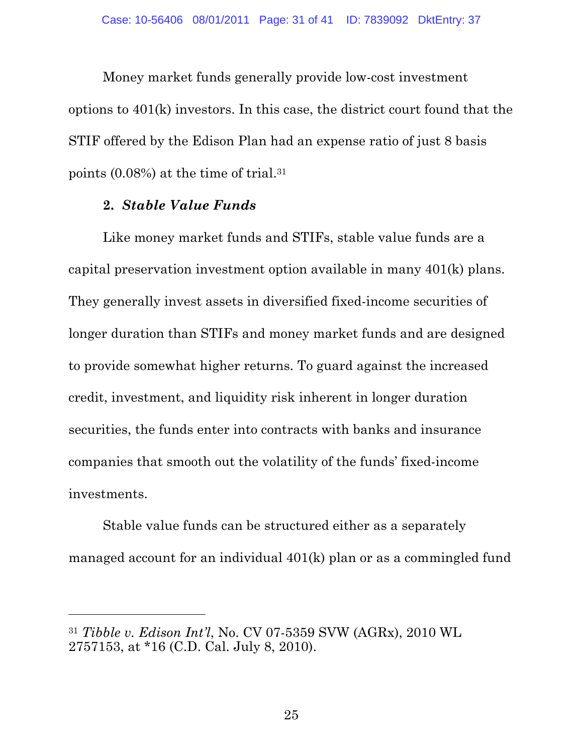Money market funds generally provide low-cost investment options to 401(k) investors. In this case, the district court found that the STIF offered by the Edison Plan had an expense ratio of just 8 basis points (0.08%) at the time of trial.31

### **2.** *Stable Value Funds*

 $\overline{a}$ 

Like money market funds and STIFs, stable value funds are a capital preservation investment option available in many 401(k) plans. They generally invest assets in diversified fixed-income securities of longer duration than STIFs and money market funds and are designed to provide somewhat higher returns. To guard against the increased credit, investment, and liquidity risk inherent in longer duration securities, the funds enter into contracts with banks and insurance companies that smooth out the volatility of the funds' fixed-income investments.

Stable value funds can be structured either as a separately managed account for an individual 401(k) plan or as a commingled fund

<sup>31</sup> *Tibble v. Edison Int'l*, No. CV 07-5359 SVW (AGRx), 2010 WL 2757153, at \*16 (C.D. Cal. July 8, 2010).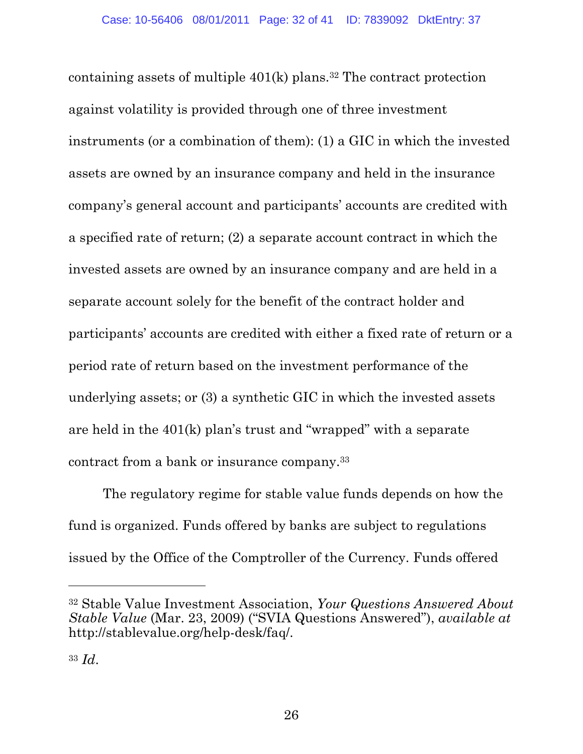containing assets of multiple  $401(k)$  plans.<sup>32</sup> The contract protection against volatility is provided through one of three investment instruments (or a combination of them): (1) a GIC in which the invested assets are owned by an insurance company and held in the insurance company's general account and participants' accounts are credited with a specified rate of return; (2) a separate account contract in which the invested assets are owned by an insurance company and are held in a separate account solely for the benefit of the contract holder and participants' accounts are credited with either a fixed rate of return or a period rate of return based on the investment performance of the underlying assets; or (3) a synthetic GIC in which the invested assets are held in the 401(k) plan's trust and "wrapped" with a separate contract from a bank or insurance company.33

The regulatory regime for stable value funds depends on how the fund is organized. Funds offered by banks are subject to regulations issued by the Office of the Comptroller of the Currency. Funds offered

<sup>32</sup> Stable Value Investment Association, *Your Questions Answered About Stable Value* (Mar. 23, 2009) ("SVIA Questions Answered"), *available at*  http://stablevalue.org/help-desk/faq/.

<sup>33</sup> *Id*.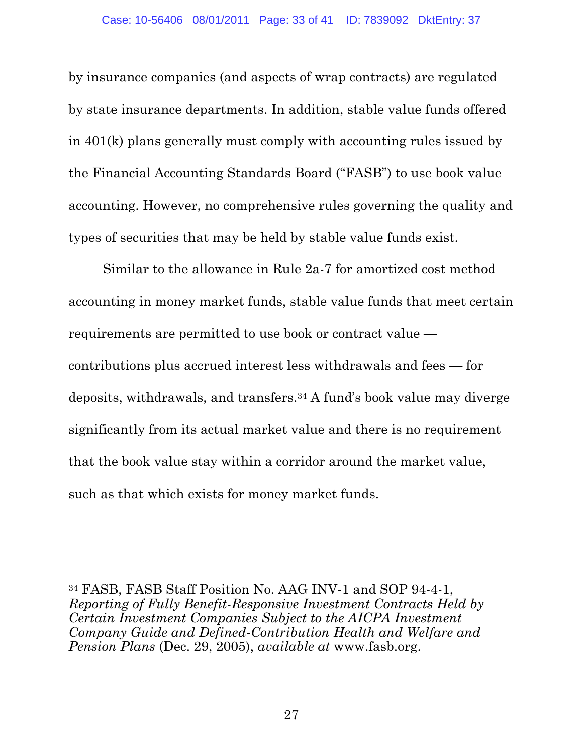by insurance companies (and aspects of wrap contracts) are regulated by state insurance departments. In addition, stable value funds offered in 401(k) plans generally must comply with accounting rules issued by the Financial Accounting Standards Board ("FASB") to use book value accounting. However, no comprehensive rules governing the quality and types of securities that may be held by stable value funds exist.

Similar to the allowance in Rule 2a-7 for amortized cost method accounting in money market funds, stable value funds that meet certain requirements are permitted to use book or contract value contributions plus accrued interest less withdrawals and fees — for deposits, withdrawals, and transfers.34 A fund's book value may diverge significantly from its actual market value and there is no requirement that the book value stay within a corridor around the market value, such as that which exists for money market funds.

<sup>34</sup> FASB, FASB Staff Position No. AAG INV-1 and SOP 94-4-1, *Reporting of Fully Benefit-Responsive Investment Contracts Held by Certain Investment Companies Subject to the AICPA Investment Company Guide and Defined-Contribution Health and Welfare and Pension Plans* (Dec. 29, 2005), *available at* www.fasb.org.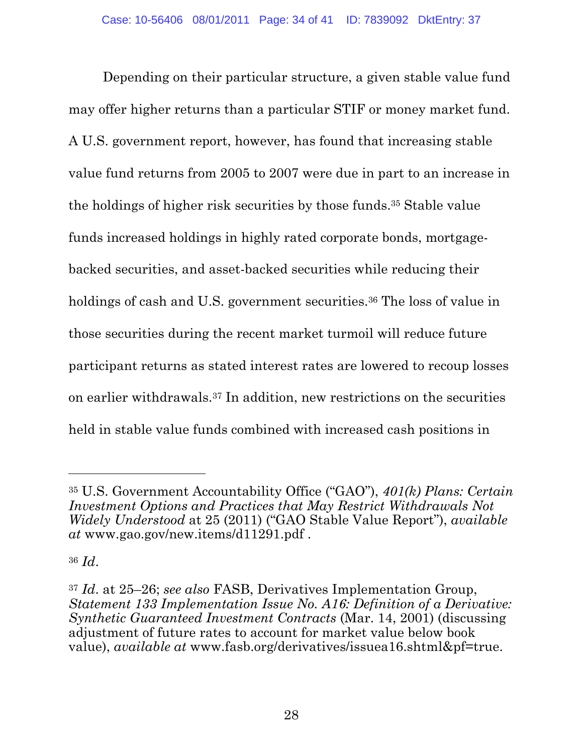Depending on their particular structure, a given stable value fund may offer higher returns than a particular STIF or money market fund. A U.S. government report, however, has found that increasing stable value fund returns from 2005 to 2007 were due in part to an increase in the holdings of higher risk securities by those funds.35 Stable value funds increased holdings in highly rated corporate bonds, mortgagebacked securities, and asset-backed securities while reducing their holdings of cash and U.S. government securities.<sup>36</sup> The loss of value in those securities during the recent market turmoil will reduce future participant returns as stated interest rates are lowered to recoup losses on earlier withdrawals.37 In addition, new restrictions on the securities held in stable value funds combined with increased cash positions in

<sup>35</sup> U.S. Government Accountability Office ("GAO"), *401(k) Plans: Certain Investment Options and Practices that May Restrict Withdrawals Not Widely Understood* at 25 (2011) ("GAO Stable Value Report"), *available at* www.gao.gov/new.items/d11291.pdf .

<sup>36</sup> *Id*.

<sup>37</sup> *Id*. at 25–26; *see also* FASB, Derivatives Implementation Group, *Statement 133 Implementation Issue No. A16: Definition of a Derivative: Synthetic Guaranteed Investment Contracts* (Mar. 14, 2001) (discussing adjustment of future rates to account for market value below book value), *available at* www.fasb.org/derivatives/issuea16.shtml&pf=true.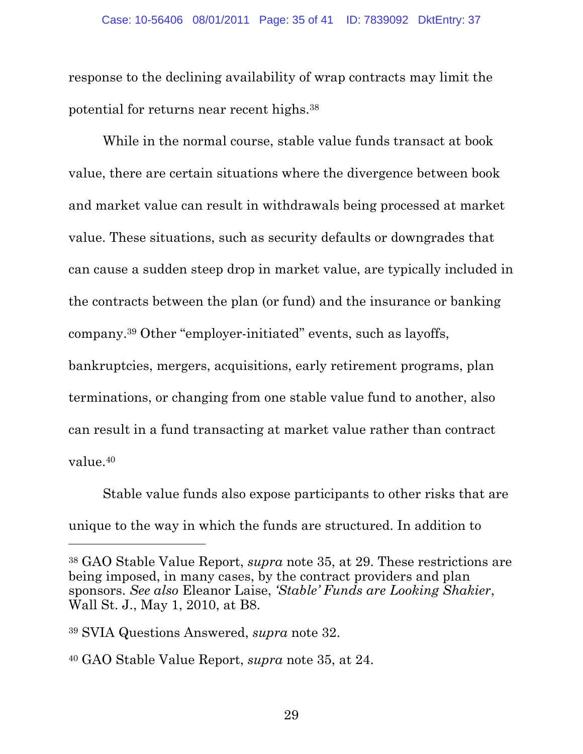response to the declining availability of wrap contracts may limit the potential for returns near recent highs.38

While in the normal course, stable value funds transact at book value, there are certain situations where the divergence between book and market value can result in withdrawals being processed at market value. These situations, such as security defaults or downgrades that can cause a sudden steep drop in market value, are typically included in the contracts between the plan (or fund) and the insurance or banking company.39 Other "employer-initiated" events, such as layoffs, bankruptcies, mergers, acquisitions, early retirement programs, plan terminations, or changing from one stable value fund to another, also can result in a fund transacting at market value rather than contract

value.40

 $\overline{a}$ 

Stable value funds also expose participants to other risks that are unique to the way in which the funds are structured. In addition to

<sup>38</sup> GAO Stable Value Report, *supra* note 35, at 29. These restrictions are being imposed, in many cases, by the contract providers and plan sponsors. *See also* Eleanor Laise, *'Stable' Funds are Looking Shakier*, Wall St. J., May 1, 2010, at B8.

<sup>39</sup> SVIA Questions Answered, *supra* note 32.

<sup>40</sup> GAO Stable Value Report, *supra* note 35, at 24.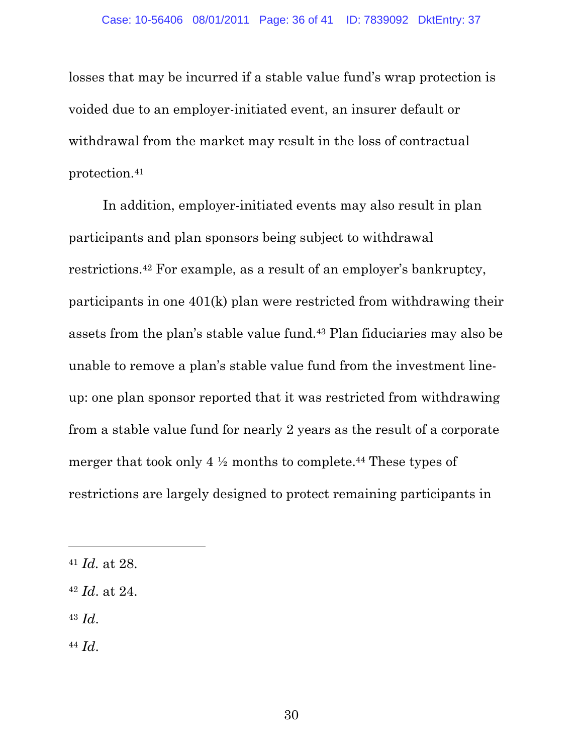losses that may be incurred if a stable value fund's wrap protection is voided due to an employer-initiated event, an insurer default or withdrawal from the market may result in the loss of contractual protection.41

In addition, employer-initiated events may also result in plan participants and plan sponsors being subject to withdrawal restrictions.42 For example, as a result of an employer's bankruptcy, participants in one 401(k) plan were restricted from withdrawing their assets from the plan's stable value fund.43 Plan fiduciaries may also be unable to remove a plan's stable value fund from the investment lineup: one plan sponsor reported that it was restricted from withdrawing from a stable value fund for nearly 2 years as the result of a corporate merger that took only 4 ½ months to complete.44 These types of restrictions are largely designed to protect remaining participants in

<sup>43</sup> *Id*.

 $\overline{a}$ 

<sup>44</sup> *Id*.

<sup>41</sup> *Id.* at 28.

<sup>42</sup> *Id*. at 24.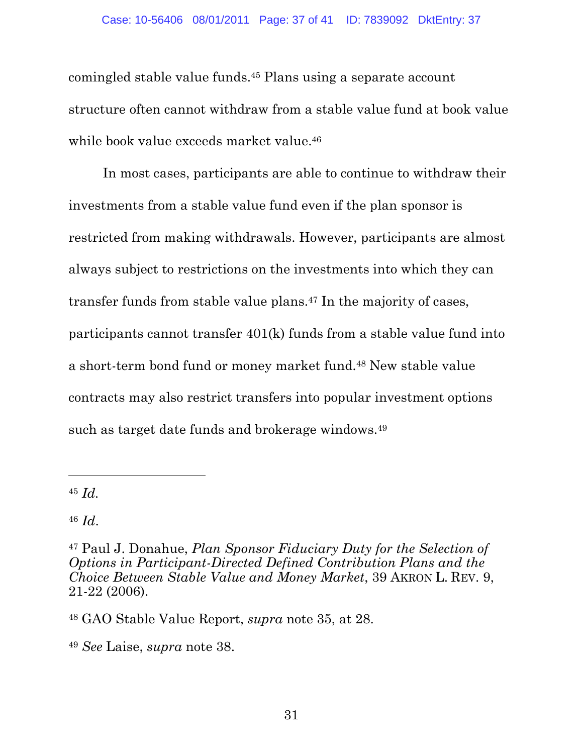#### Case: 10-56406 08/01/2011 Page: 37 of 41 ID: 7839092 DktEntry: 37

comingled stable value funds.45 Plans using a separate account structure often cannot withdraw from a stable value fund at book value while book value exceeds market value.<sup>46</sup>

In most cases, participants are able to continue to withdraw their investments from a stable value fund even if the plan sponsor is restricted from making withdrawals. However, participants are almost always subject to restrictions on the investments into which they can transfer funds from stable value plans.47 In the majority of cases, participants cannot transfer 401(k) funds from a stable value fund into a short-term bond fund or money market fund.48 New stable value contracts may also restrict transfers into popular investment options such as target date funds and brokerage windows.49

<sup>45</sup> *Id.* 

 $\overline{a}$ 

<sup>46</sup> *Id*.

<sup>47</sup> Paul J. Donahue, *Plan Sponsor Fiduciary Duty for the Selection of Options in Participant-Directed Defined Contribution Plans and the Choice Between Stable Value and Money Market*, 39 AKRON L. REV. 9, 21-22 (2006).

<sup>48</sup> GAO Stable Value Report, *supra* note 35, at 28.

<sup>49</sup> *See* Laise, *supra* note 38.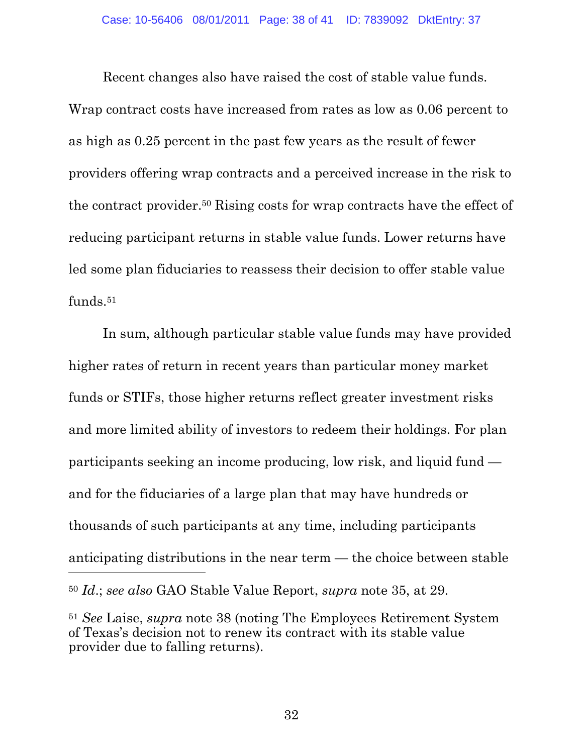Recent changes also have raised the cost of stable value funds. Wrap contract costs have increased from rates as low as 0.06 percent to as high as 0.25 percent in the past few years as the result of fewer providers offering wrap contracts and a perceived increase in the risk to the contract provider.50 Rising costs for wrap contracts have the effect of reducing participant returns in stable value funds. Lower returns have led some plan fiduciaries to reassess their decision to offer stable value funds.51

In sum, although particular stable value funds may have provided higher rates of return in recent years than particular money market funds or STIFs, those higher returns reflect greater investment risks and more limited ability of investors to redeem their holdings. For plan participants seeking an income producing, low risk, and liquid fund and for the fiduciaries of a large plan that may have hundreds or thousands of such participants at any time, including participants anticipating distributions in the near term — the choice between stable <sup>50</sup> *Id*.; *see also* GAO Stable Value Report, *supra* note 35, at 29.

<sup>51</sup> *See* Laise, *supra* note 38 (noting The Employees Retirement System of Texas's decision not to renew its contract with its stable value provider due to falling returns).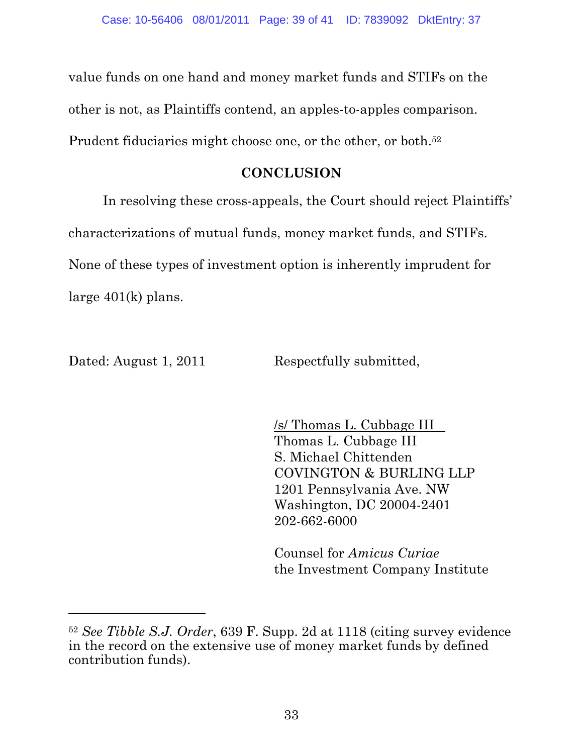value funds on one hand and money market funds and STIFs on the other is not, as Plaintiffs contend, an apples-to-apples comparison. Prudent fiduciaries might choose one, or the other, or both.<sup>52</sup>

## **CONCLUSION**

In resolving these cross-appeals, the Court should reject Plaintiffs' characterizations of mutual funds, money market funds, and STIFs. None of these types of investment option is inherently imprudent for large 401(k) plans.

 $\overline{a}$ 

Dated: August 1, 2011 Respectfully submitted,

/s/ Thomas L. Cubbage III Thomas L. Cubbage III S. Michael Chittenden COVINGTON & BURLING LLP 1201 Pennsylvania Ave. NW Washington, DC 20004-2401 202-662-6000

Counsel for *Amicus Curiae* the Investment Company Institute

<sup>52</sup> *See Tibble S.J. Order*, 639 F. Supp. 2d at 1118 (citing survey evidence in the record on the extensive use of money market funds by defined contribution funds).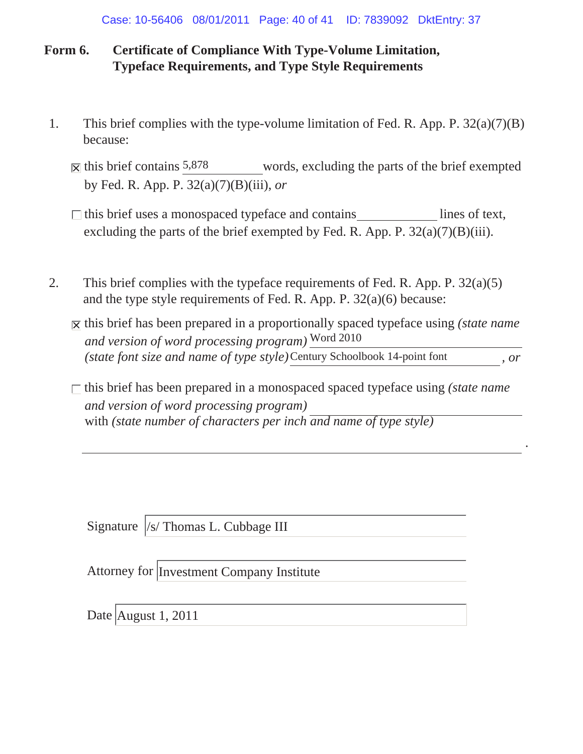## **Form 6. Certificate of Compliance With Type-Volume Limitation, Typeface Requirements, and Type Style Requirements**

- 1. This brief complies with the type-volume limitation of Fed. R. App. P. 32(a)(7)(B) because:
	- words, excluding the parts of the brief exempted by Fed. R. App. P. 32(a)(7)(B)(iii), *or*  $\overline{\mathsf{x}}$  this brief contains 5,878
	- excluding the parts of the brief exempted by Fed. R. App. P.  $32(a)(7)(B)(iii)$ .  $\Box$  this brief uses a monospaced typeface and contains lines of text,
- 2. This brief complies with the typeface requirements of Fed. R. App. P.  $32(a)(5)$ and the type style requirements of Fed. R. App. P. 32(a)(6) because:
	- $\overline{X}$  this brief has been prepared in a proportionally spaced typeface using *(state name*) *and version of word processing program)* Word 2010 (*state font size and name of type style*)Century Schoolbook 14-point font , or
	- *and version of word processing program)* with *(state number of characters per inch and name of type style)*  $\Box$  this brief has been prepared in a monospaced spaced typeface using *(state name*)

*.*

Signature /s/ Thomas L. Cubbage III

Attorney for Investment Company Institute

Date August 1, 2011